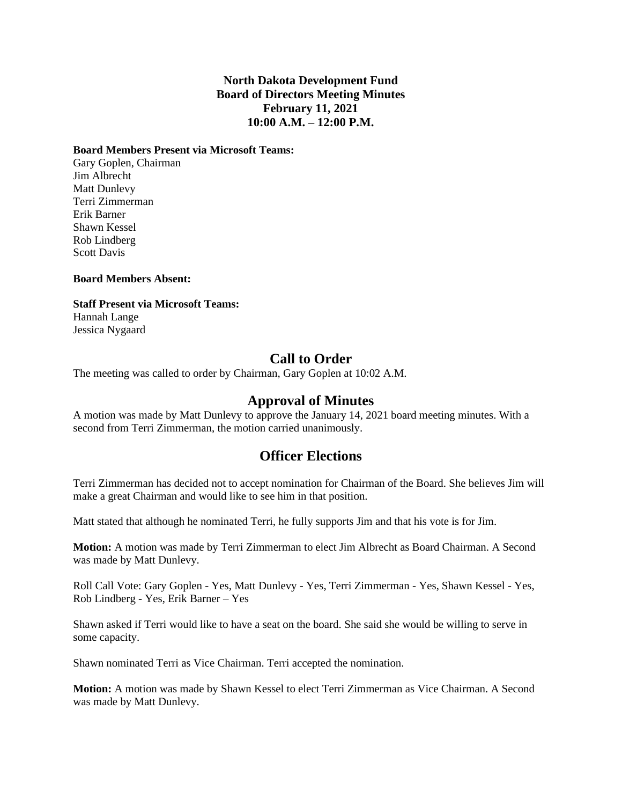### **North Dakota Development Fund Board of Directors Meeting Minutes February 11, 2021 10:00 A.M. – 12:00 P.M.**

#### **Board Members Present via Microsoft Teams:**

Gary Goplen, Chairman Jim Albrecht Matt Dunlevy Terri Zimmerman Erik Barner Shawn Kessel Rob Lindberg Scott Davis

#### **Board Members Absent:**

#### **Staff Present via Microsoft Teams:**

Hannah Lange Jessica Nygaard

## **Call to Order**

The meeting was called to order by Chairman, Gary Goplen at 10:02 A.M.

### **Approval of Minutes**

A motion was made by Matt Dunlevy to approve the January 14, 2021 board meeting minutes. With a second from Terri Zimmerman, the motion carried unanimously.

### **Officer Elections**

Terri Zimmerman has decided not to accept nomination for Chairman of the Board. She believes Jim will make a great Chairman and would like to see him in that position.

Matt stated that although he nominated Terri, he fully supports Jim and that his vote is for Jim.

**Motion:** A motion was made by Terri Zimmerman to elect Jim Albrecht as Board Chairman. A Second was made by Matt Dunlevy.

Roll Call Vote: Gary Goplen - Yes, Matt Dunlevy - Yes, Terri Zimmerman - Yes, Shawn Kessel - Yes, Rob Lindberg - Yes, Erik Barner – Yes

Shawn asked if Terri would like to have a seat on the board. She said she would be willing to serve in some capacity.

Shawn nominated Terri as Vice Chairman. Terri accepted the nomination.

**Motion:** A motion was made by Shawn Kessel to elect Terri Zimmerman as Vice Chairman. A Second was made by Matt Dunlevy.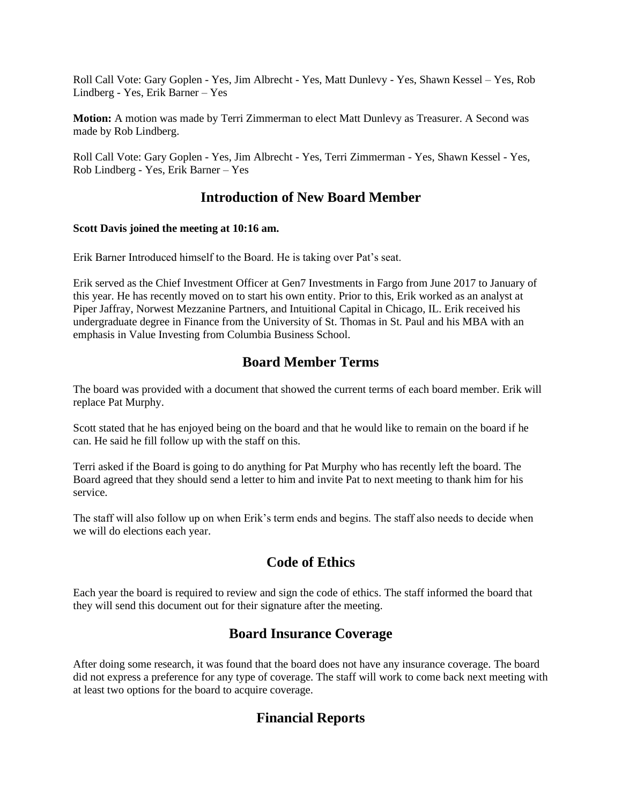Roll Call Vote: Gary Goplen - Yes, Jim Albrecht - Yes, Matt Dunlevy - Yes, Shawn Kessel – Yes, Rob Lindberg - Yes, Erik Barner – Yes

**Motion:** A motion was made by Terri Zimmerman to elect Matt Dunlevy as Treasurer. A Second was made by Rob Lindberg.

Roll Call Vote: Gary Goplen - Yes, Jim Albrecht - Yes, Terri Zimmerman - Yes, Shawn Kessel - Yes, Rob Lindberg - Yes, Erik Barner – Yes

## **Introduction of New Board Member**

#### **Scott Davis joined the meeting at 10:16 am.**

Erik Barner Introduced himself to the Board. He is taking over Pat's seat.

Erik served as the Chief Investment Officer at Gen7 Investments in Fargo from June 2017 to January of this year. He has recently moved on to start his own entity. Prior to this, Erik worked as an analyst at Piper Jaffray, Norwest Mezzanine Partners, and Intuitional Capital in Chicago, IL. Erik received his undergraduate degree in Finance from the University of St. Thomas in St. Paul and his MBA with an emphasis in Value Investing from Columbia Business School.

# **Board Member Terms**

The board was provided with a document that showed the current terms of each board member. Erik will replace Pat Murphy.

Scott stated that he has enjoyed being on the board and that he would like to remain on the board if he can. He said he fill follow up with the staff on this.

Terri asked if the Board is going to do anything for Pat Murphy who has recently left the board. The Board agreed that they should send a letter to him and invite Pat to next meeting to thank him for his service.

The staff will also follow up on when Erik's term ends and begins. The staff also needs to decide when we will do elections each year.

# **Code of Ethics**

Each year the board is required to review and sign the code of ethics. The staff informed the board that they will send this document out for their signature after the meeting.

# **Board Insurance Coverage**

After doing some research, it was found that the board does not have any insurance coverage. The board did not express a preference for any type of coverage. The staff will work to come back next meeting with at least two options for the board to acquire coverage.

# **Financial Reports**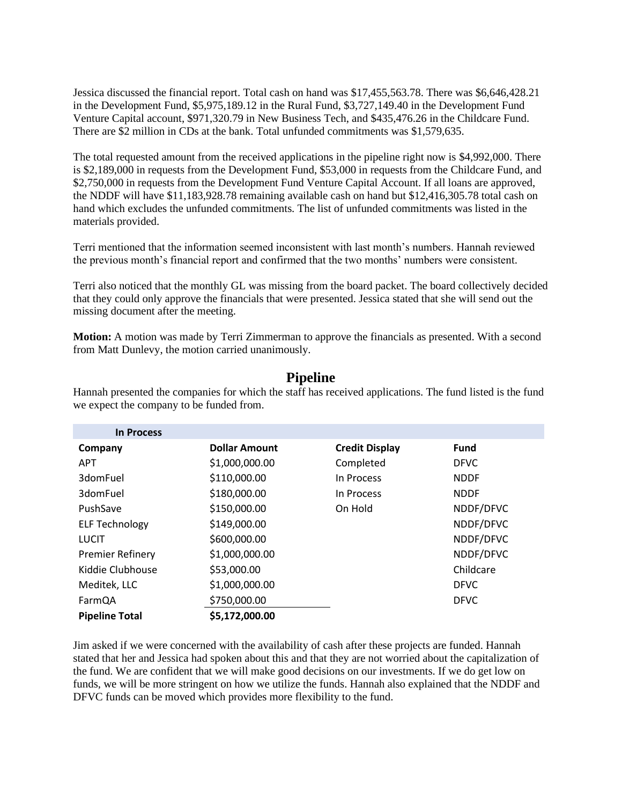Jessica discussed the financial report. Total cash on hand was \$17,455,563.78. There was \$6,646,428.21 in the Development Fund, \$5,975,189.12 in the Rural Fund, \$3,727,149.40 in the Development Fund Venture Capital account, \$971,320.79 in New Business Tech, and \$435,476.26 in the Childcare Fund. There are \$2 million in CDs at the bank. Total unfunded commitments was \$1,579,635.

The total requested amount from the received applications in the pipeline right now is \$4,992,000. There is \$2,189,000 in requests from the Development Fund, \$53,000 in requests from the Childcare Fund, and \$2,750,000 in requests from the Development Fund Venture Capital Account. If all loans are approved, the NDDF will have \$11,183,928.78 remaining available cash on hand but \$12,416,305.78 total cash on hand which excludes the unfunded commitments. The list of unfunded commitments was listed in the materials provided.

Terri mentioned that the information seemed inconsistent with last month's numbers. Hannah reviewed the previous month's financial report and confirmed that the two months' numbers were consistent.

Terri also noticed that the monthly GL was missing from the board packet. The board collectively decided that they could only approve the financials that were presented. Jessica stated that she will send out the missing document after the meeting.

**Motion:** A motion was made by Terri Zimmerman to approve the financials as presented. With a second from Matt Dunlevy, the motion carried unanimously.

### **Pipeline**

Hannah presented the companies for which the staff has received applications. The fund listed is the fund we expect the company to be funded from.

| <b>In Process</b>       |                      |                       |             |
|-------------------------|----------------------|-----------------------|-------------|
| Company                 | <b>Dollar Amount</b> | <b>Credit Display</b> | <b>Fund</b> |
| <b>APT</b>              | \$1,000,000.00       | Completed             | <b>DFVC</b> |
| 3domFuel                | \$110,000.00         | In Process            | <b>NDDF</b> |
| 3domFuel                | \$180,000.00         | In Process            | <b>NDDF</b> |
| PushSave                | \$150,000.00         | On Hold               | NDDF/DFVC   |
| <b>ELF Technology</b>   | \$149,000.00         |                       | NDDF/DFVC   |
| <b>LUCIT</b>            | \$600,000.00         |                       | NDDF/DFVC   |
| <b>Premier Refinery</b> | \$1,000,000.00       |                       | NDDF/DFVC   |
| Kiddie Clubhouse        | \$53,000.00          |                       | Childcare   |
| Meditek, LLC            | \$1,000,000.00       |                       | <b>DFVC</b> |
| FarmQA                  | \$750,000.00         |                       | <b>DFVC</b> |
| <b>Pipeline Total</b>   | \$5,172,000.00       |                       |             |

Jim asked if we were concerned with the availability of cash after these projects are funded. Hannah stated that her and Jessica had spoken about this and that they are not worried about the capitalization of the fund. We are confident that we will make good decisions on our investments. If we do get low on funds, we will be more stringent on how we utilize the funds. Hannah also explained that the NDDF and DFVC funds can be moved which provides more flexibility to the fund.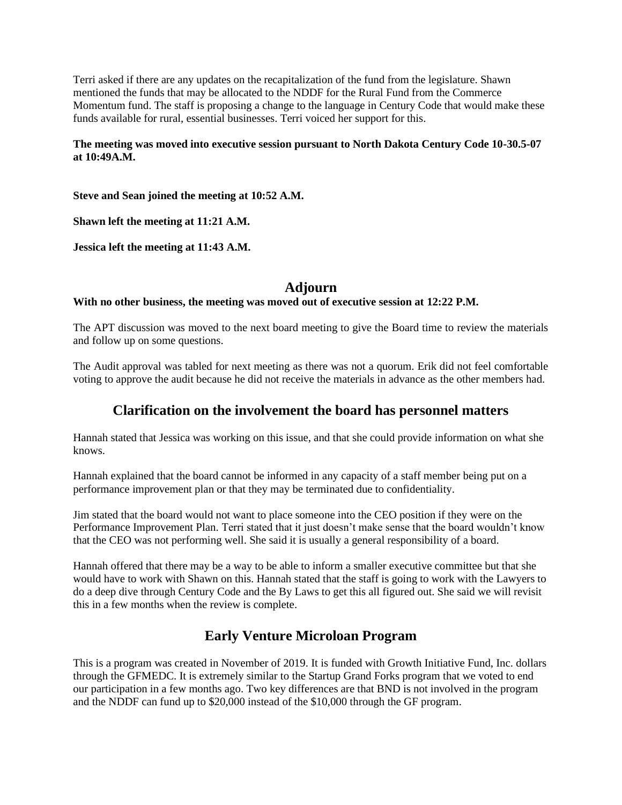Terri asked if there are any updates on the recapitalization of the fund from the legislature. Shawn mentioned the funds that may be allocated to the NDDF for the Rural Fund from the Commerce Momentum fund. The staff is proposing a change to the language in Century Code that would make these funds available for rural, essential businesses. Terri voiced her support for this.

#### **The meeting was moved into executive session pursuant to North Dakota Century Code 10-30.5-07 at 10:49A.M.**

**Steve and Sean joined the meeting at 10:52 A.M.**

**Shawn left the meeting at 11:21 A.M.**

**Jessica left the meeting at 11:43 A.M.**

## **Adjourn**

### **With no other business, the meeting was moved out of executive session at 12:22 P.M.**

The APT discussion was moved to the next board meeting to give the Board time to review the materials and follow up on some questions.

The Audit approval was tabled for next meeting as there was not a quorum. Erik did not feel comfortable voting to approve the audit because he did not receive the materials in advance as the other members had.

## **Clarification on the involvement the board has personnel matters**

Hannah stated that Jessica was working on this issue, and that she could provide information on what she knows.

Hannah explained that the board cannot be informed in any capacity of a staff member being put on a performance improvement plan or that they may be terminated due to confidentiality.

Jim stated that the board would not want to place someone into the CEO position if they were on the Performance Improvement Plan. Terri stated that it just doesn't make sense that the board wouldn't know that the CEO was not performing well. She said it is usually a general responsibility of a board.

Hannah offered that there may be a way to be able to inform a smaller executive committee but that she would have to work with Shawn on this. Hannah stated that the staff is going to work with the Lawyers to do a deep dive through Century Code and the By Laws to get this all figured out. She said we will revisit this in a few months when the review is complete.

# **Early Venture Microloan Program**

This is a program was created in November of 2019. It is funded with Growth Initiative Fund, Inc. dollars through the GFMEDC. It is extremely similar to the Startup Grand Forks program that we voted to end our participation in a few months ago. Two key differences are that BND is not involved in the program and the NDDF can fund up to \$20,000 instead of the \$10,000 through the GF program.